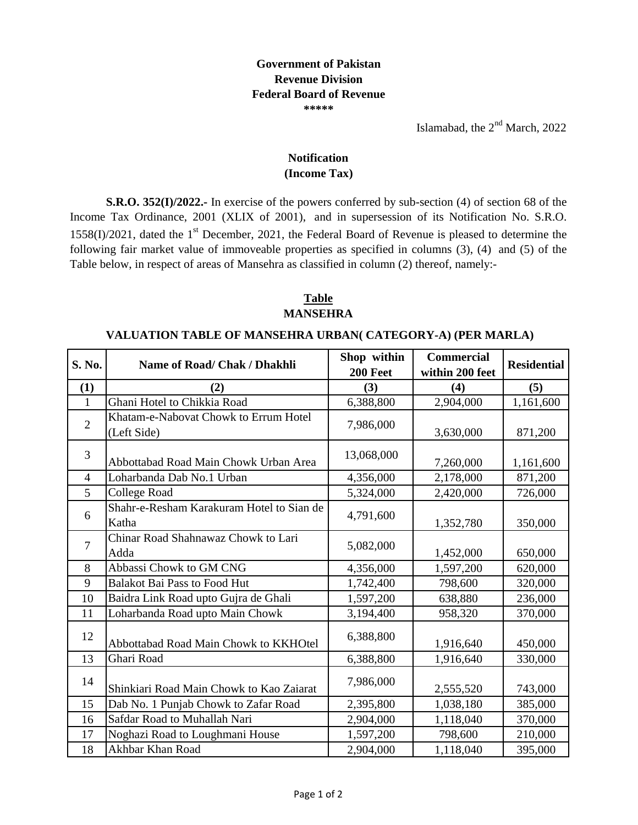Islamabad, the  $2<sup>nd</sup>$  March, 2022

## **(Income Tax) Notification**

**S.R.O. 352(I)/2022.-** In exercise of the powers conferred by sub-section (4) of section 68 of the Income Tax Ordinance, 2001 (XLIX of 2001), and in supersession of its Notification No. S.R.O.  $1558(I)/2021$ , dated the  $1<sup>st</sup>$  December, 2021, the Federal Board of Revenue is pleased to determine the following fair market value of immoveable properties as specified in columns (3), (4) and (5) of the Table below, in respect of areas of Mansehra as classified in column (2) thereof, namely:-

## **Table MANSEHRA**

## **VALUATION TABLE OF MANSEHRA URBAN( CATEGORY-A) (PER MARLA)**

| S. No.         | <b>Name of Road/ Chak / Dhakhli</b>                  | Shop within<br>200 Feet | <b>Commercial</b><br>within 200 feet | <b>Residential</b> |
|----------------|------------------------------------------------------|-------------------------|--------------------------------------|--------------------|
| (1)            | (2)                                                  | (3)                     | (4)                                  | (5)                |
| 1              | Ghani Hotel to Chikkia Road                          | 6,388,800               | 2,904,000                            | 1,161,600          |
| $\overline{2}$ | Khatam-e-Nabovat Chowk to Errum Hotel<br>(Left Side) | 7,986,000               | 3,630,000                            | 871,200            |
| 3              | Abbottabad Road Main Chowk Urban Area                | 13,068,000              | 7,260,000                            | 1,161,600          |
| $\overline{4}$ | Loharbanda Dab No.1 Urban                            | 4,356,000               | 2,178,000                            | 871,200            |
| 5              | College Road                                         | 5,324,000               | 2,420,000                            | 726,000            |
| 6              | Shahr-e-Resham Karakuram Hotel to Sian de<br>Katha   | 4,791,600               | 1,352,780                            | 350,000            |
| $\overline{7}$ | Chinar Road Shahnawaz Chowk to Lari<br>Adda          | 5,082,000               | 1,452,000                            | 650,000            |
| 8              | Abbassi Chowk to GM CNG                              | 4,356,000               | 1,597,200                            | 620,000            |
| 9              | <b>Balakot Bai Pass to Food Hut</b>                  | 1,742,400               | 798,600                              | 320,000            |
| 10             | Baidra Link Road upto Gujra de Ghali                 | 1,597,200               | 638,880                              | 236,000            |
| 11             | Loharbanda Road upto Main Chowk                      | 3,194,400               | 958,320                              | 370,000            |
| 12             | Abbottabad Road Main Chowk to KKHOtel                | 6,388,800               | 1,916,640                            | 450,000            |
| 13             | Ghari Road                                           | 6,388,800               | 1,916,640                            | 330,000            |
| 14             | Shinkiari Road Main Chowk to Kao Zaiarat             | 7,986,000               | 2,555,520                            | 743,000            |
| 15             | Dab No. 1 Punjab Chowk to Zafar Road                 | 2,395,800               | 1,038,180                            | 385,000            |
| 16             | Safdar Road to Muhallah Nari                         | 2,904,000               | 1,118,040                            | 370,000            |
| 17             | Noghazi Road to Loughmani House                      | 1,597,200               | 798,600                              | 210,000            |
| 18             | Akhbar Khan Road                                     | 2,904,000               | 1,118,040                            | 395,000            |